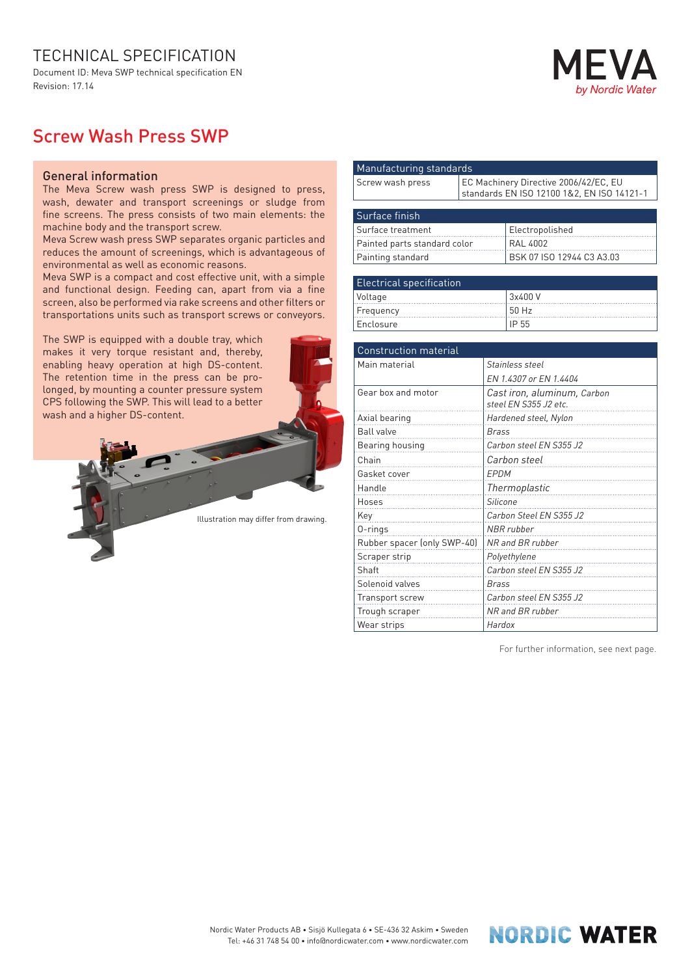## TECHNICAL SPECIFICATION

Document ID: Meva SWP technical specification EN Revision: 17.14



## Screw Wash Press SWP

## General information

The Meva Screw wash press SWP is designed to press, wash, dewater and transport screenings or sludge from fine screens. The press consists of two main elements: the machine body and the transport screw.

Meva Screw wash press SWP separates organic particles and reduces the amount of screenings, which is advantageous of environmental as well as economic reasons.

Meva SWP is a compact and cost effective unit, with a simple and functional design. Feeding can, apart from via a fine screen, also be performed via rake screens and other filters or transportations units such as transport screws or conveyors.

The SWP is equipped with a double tray, which makes it very torque resistant and, thereby, enabling heavy operation at high DS-content. The retention time in the press can be prolonged, by mounting a counter pressure system CPS following the SWP. This will lead to a better wash and a higher DS-content.

Illustration may differ from drawing.

| Manufacturing standards      |                                                                                     |                           |  |
|------------------------------|-------------------------------------------------------------------------------------|---------------------------|--|
| Screw wash press             | EC Machinery Directive 2006/42/EC, EU<br>standards EN ISO 12100 1&2, EN ISO 14121-1 |                           |  |
|                              |                                                                                     |                           |  |
| Surface finish               |                                                                                     |                           |  |
| Surface treatment            |                                                                                     | Electropolished           |  |
| Painted parts standard color |                                                                                     | <b>RAL 4002</b>           |  |
| Painting standard            |                                                                                     | BSK 07 ISO 12944 C3 A3.03 |  |
|                              |                                                                                     |                           |  |
|                              |                                                                                     |                           |  |

| Electrical specification |         |  |
|--------------------------|---------|--|
| Voltage                  | 3x400 V |  |
| Frequency                | 50 Hz   |  |
| Enclosure                | IP 55   |  |

| <b>Construction material</b> |                                                      |  |
|------------------------------|------------------------------------------------------|--|
| Main material                | Stainless steel                                      |  |
|                              | EN 1.4307 or EN 1.4404                               |  |
| Gear box and motor           | Cast iron, aluminum, Carbon<br>steel EN S355 J2 etc. |  |
| Axial bearing                | Hardened steel, Nylon                                |  |
| <b>Ball valve</b>            | <b>Brass</b>                                         |  |
| Bearing housing              | Carbon steel EN S355 J2                              |  |
| Chain                        | Carbon steel                                         |  |
| Gasket cover                 | EPDM                                                 |  |
| Handle                       | Thermoplastic                                        |  |
| Hoses                        | <b>Silicone</b>                                      |  |
| Key                          | Carbon Steel EN S355 J2                              |  |
| 0-rings                      | NBR rubber                                           |  |
| Rubber spacer (only SWP-40)  | NR and BR rubber                                     |  |
| Scraper strip                | Polyethylene                                         |  |
| Shaft                        | Carbon steel EN S355 J2                              |  |
| Solenoid valves              | Brass                                                |  |
| Transport screw              | Carbon steel EN S355 J2                              |  |
| Trough scraper               | NR and BR rubber                                     |  |
| Wear strips                  | Hardox                                               |  |

For further information, see next page.

**NORDIC WATER**